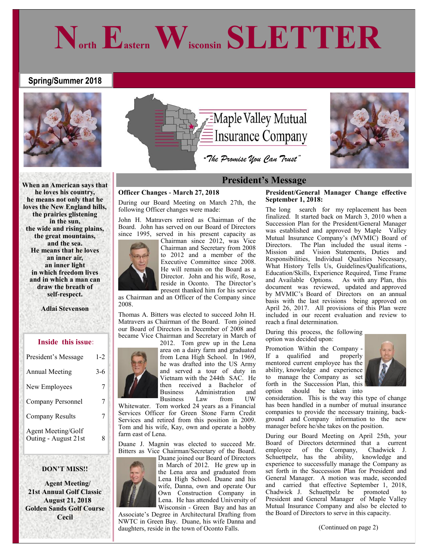# **Spring/Summer 2018**



**When an American says that he loves his country, he means not only that he loves the New England hills, the prairies glistening in the sun, the wide and rising plains, the great mountains, and the sea. He means that he loves an inner air, an inner light in which freedom lives and in which a man can draw the breath of self-respect.**

**Adlai Stevenson**

#### **Inside this issue:**

| President's Message                        | $1 - 2$ |
|--------------------------------------------|---------|
| <b>Annual Meeting</b>                      | $3-6$   |
| New Employees                              | 7       |
| Company Personnel                          | 7       |
| <b>Company Results</b>                     | 7       |
| Agent Meeting/Golf<br>Outing - August 21st |         |

#### **DON'T MISS!!**

 **Agent Meeting/ 21st Annual Golf Classic August 21, 2018 Golden Sands Golf Course Cecil**



**North Eastern Wisconsin SLETTER**

#### **Officer Changes - March 27, 2018**

During our Board Meeting on March 27th, the following Officer changes were made:

John H. Matravers retired as Chairman of the Board. John has served on our Board of Directors since 1995, served in his present capacity as



Chairman since 2012, was Vice Chairman and Secretary from 2008 to 2012 and a member of the Executive Committee since 2008. He will remain on the Board as a Director. John and his wife, Rose, reside in Oconto. The Director's present thanked him for his service

as Chairman and an Officer of the Company since 2008.

Thomas A. Bitters was elected to succeed John H. Matravers as Chairman of the Board. Tom joined our Board of Directors in December of 2008 and became Vice Chairman and Secretary in March of



area on a dairy farm and graduated from Lena High School. In 1969, he was drafted into the US Army and served a tour of duty in Vietnam with the 244th SAC. He then received a Bachelor of Business Administration and<br>Business Law from LIW **Business** 

Whitewater. Tom worked 24 years as a Financial Services Officer for Green Stone Farm Credit Services and retired from this position in 2009. Tom and his wife, Kay, own and operate a hobby farm east of Lena.

Duane J. Magnin was elected to succeed Mr. Bitters as Vice Chairman/Secretary of the Board.



Duane joined our Board of Directors in March of 2012. He grew up in the Lena area and graduated from Lena High School. Duane and his wife, Danna, own and operate Our Own Construction Company in Lena. He has attended University of Wisconsin - Green Bay and has an

Associate's Degree in Architectural Drafting from NWTC in Green Bay. Duane, his wife Danna and daughters, reside in the town of Oconto Falls.

#### **President/General Manager Change effective September 1, 2018:**

The long search for my replacement has been finalized. It started back on March 3, 2010 when a Succession Plan for the President/General Manager was established and approved by Maple Valley Mutual Insurance Company's (MVMIC) Board of Directors. The Plan included the usual items - Mission and Vision Statements, Duties and Responsibilities, Individual Qualities Necessary, What History Tells Us, Guidelines/Qualifications, Education/Skills, Experience Required, Time Frame and Available Options. As with any Plan, this document was reviewed, updated and approved by MVMIC's Board of Directors on an annual basis with the last revisions being approved on April 26, 2017. All provisions of this Plan were included in our recent evaluation and review to reach a final determination.

During this process, the following option was decided upon:

Promotion Within the Company - If a qualified and properly mentored current employee has the ability, knowledge and experience to manage the Company as set forth in the Succession Plan, this option should be taken into



consideration. This is the way this type of change has been handled in a number of mutual insurance companies to provide the necessary training, background and Company information to the new manager before he/she takes on the position.

During our Board Meeting on April 25th, your Board of Directors determined that a current employee of the Company, Chadwick J. Schuettpelz, has the ability, knowledge and experience to successfully manage the Company as set forth in the Succession Plan for President and General Manager. A motion was made, seconded and carried that effective September 1, 2018, Chadwick J. Schuettpelz be promoted to President and General Manager of Maple Valley Mutual Insurance Company and also be elected to the Board of Directors to serve in this capacity.

(Continued on page 2)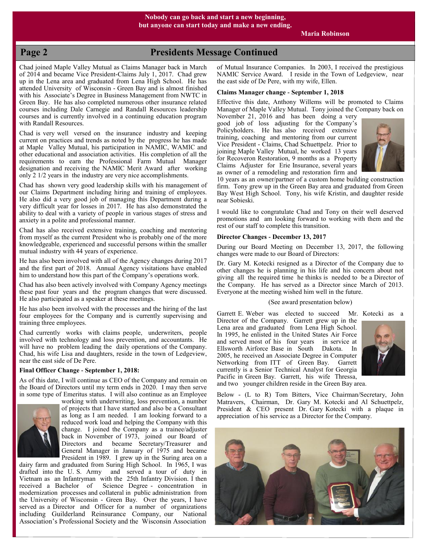## **Page 2 Presidents Message Continued**

Chad joined Maple Valley Mutual as Claims Manager back in March of 2014 and became Vice President-Claims July 1, 2017. Chad grew up in the Lena area and graduated from Lena High School. He has attended University of Wisconsin - Green Bay and is almost finished with his Associate's Degree in Business Management from NWTC in Green Bay. He has also completed numerous other insurance related courses including Dale Carnegie and Randall Resources leadership courses and is currently involved in a continuing education program with Randall Resources.

Chad is very well versed on the insurance industry and keeping current on practices and trends as noted by the progress he has made at Maple Valley Mutual, his participation in NAMIC, WAMIC and other educational and association activities. His completion of all the requirements to earn the Professional Farm Mutual Manager designation and receiving the NAMIC Merit Award after working only 2 1/2 years in the industry are very nice accomplishments.

Chad has shown very good leadership skills with his management of our Claims Department including hiring and training of employees. He also did a very good job of managing this Department during a very difficult year for losses in 2017. He has also demonstrated the ability to deal with a variety of people in various stages of stress and anxiety in a polite and professional manner.

Chad has also received extensive training, coaching and mentoring from myself as the current President who is probably one of the more knowledgeable, experienced and successful persons within the smaller mutual industry with 44 years of experience.

He has also been involved with all of the Agency changes during 2017 and the first part of 2018. Annual Agency visitations have enabled him to understand how this part of the Company's operations work.

Chad has also been actively involved with Company Agency meetings these past four years and the program changes that were discussed. He also participated as a speaker at these meetings.

He has also been involved with the processes and the hiring of the last four employees for the Company and is currently supervising and training three employees.

Chad currently works with claims people, underwriters, people involved with technology and loss prevention, and accountants. He will have no problem leading the daily operations of the Company. Chad, his wife Lisa and daughters, reside in the town of Ledgeview, near the east side of De Pere.

#### **Final Officer Change - September 1, 2018:**

As of this date, I will continue as CEO of the Company and remain on the Board of Directors until my term ends in 2020. I may then serve in some type of Emeritus status. I will also continue as an Employee



working with underwriting, loss prevention, a number of projects that I have started and also be a Consultant as long as I am needed. I am looking forward to a reduced work load and helping the Company with this change. I joined the Company as a trainee/adjuster back in November of 1973, joined our Board of Directors and became Secretary/Treasurer and General Manager in January of 1975 and became President in 1989. I grew up in the Suring area on a

dairy farm and graduated from Suring High School. In 1965, I was drafted into the U. S. Army and served a tour of duty in Vietnam as an Infantryman with the 25th Infantry Division. I then received a Bachelor of Science Degree - concentration in modernization processes and collateral in public administration from the University of Wisconsin - Green Bay. Over the years, I have served as a Director and Officer for a number of organizations including Guilderland Reinsurance Company, our National Association's Professional Society and the Wisconsin Association

of Mutual Insurance Companies. In 2003, I received the prestigious NAMIC Service Award. I reside in the Town of Ledgeview, near the east side of De Pere, with my wife, Ellen.

#### **Claims Manager change - September 1, 2018**

Effective this date, Anthony Willems will be promoted to Claims Manager of Maple Valley Mutual. Tony joined the Company back on November 21, 2016 and has been doing a very

good job of loss adjusting for the Company's Policyholders. He has also received extensive training, coaching and mentoring from our current Vice President - Claims, Chad Schuettpelz. Prior to joining Maple Valley Mutual, he worked 13 years for Recoveron Restoration, 9 months as a Property Claims Adjuster for Erie Insurance, several years as owner of a remodeling and restoration firm and



10 years as an owner/partner of a custom home building construction firm. Tony grew up in the Green Bay area and graduated from Green Bay West High School. Tony, his wife Kristin, and daughter reside near Sobieski.

I would like to congratulate Chad and Tony on their well deserved promotions and am looking forward to working with them and the rest of our staff to complete this transition.

#### **Director Changes - December 13, 2017**

During our Board Meeting on December 13, 2017, the following changes were made to our Board of Directors:

Dr. Gary M. Kotecki resigned as a Director of the Company due to other changes he is planning in his life and his concern about not giving all the required time he thinks is needed to be a Director of the Company. He has served as a Director since March of 2013. Everyone at the meeting wished him well in the future.

#### (See award presentation below)

Garrett E. Weber was elected to succeed Mr. Kotecki as a

Director of the Company. Garrett grew up in the Lena area and graduated from Lena High School. In 1995, he enlisted in the United States Air Force and served most of his four years in service at Ellsworth Airforce Base in South Dakota. In 2005, he received an Associate Degree in Computer Networking from ITT of Green Bay. Garrett currently is a Senior Technical Analyst for Georgia Pacific in Green Bay. Garrett, his wife Thressa, and two younger children reside in the Green Bay area.



Below - (L to R) Tom Bitters, Vice Chairman/Secretary, John Matravers, Chairman, Dr. Gary M. Kotecki and Al Schuettpelz, President & CEO present Dr. Gary Kotecki with a plaque in appreciation of his service as a Director for the Company.

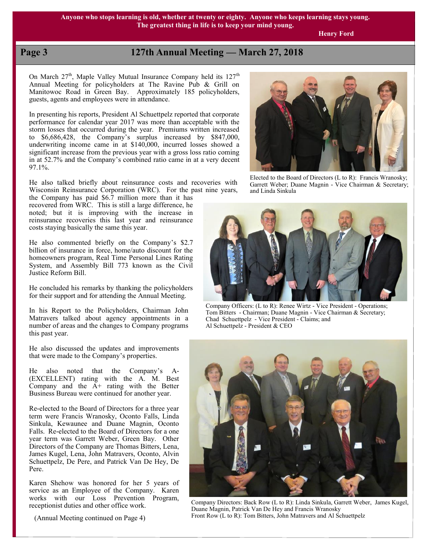**Henry Ford**

# **Page 3 127th Annual Meeting — March 27, 2018**

On March  $27<sup>th</sup>$ , Maple Valley Mutual Insurance Company held its  $127<sup>th</sup>$ Annual Meeting for policyholders at The Ravine Pub & Grill on Manitowoc Road in Green Bay. Approximately 185 policyholders, guests, agents and employees were in attendance.

In presenting his reports, President Al Schuettpelz reported that corporate performance for calendar year 2017 was more than acceptable with the storm losses that occurred during the year. Premiums written increased to \$6,686,428, the Company's surplus increased by \$847,000, underwriting income came in at \$140,000, incurred losses showed a significant increase from the previous year with a gross loss ratio coming in at 52.7% and the Company's combined ratio came in at a very decent 97.1%.

He also talked briefly about reinsurance costs and recoveries with Wisconsin Reinsurance Corporation (WRC). For the past nine years,

the Company has paid \$6.7 million more than it has recovered from WRC. This is still a large difference, he noted; but it is improving with the increase in reinsurance recoveries this last year and reinsurance costs staying basically the same this year.

He also commented briefly on the Company's \$2.7 billion of insurance in force, home/auto discount for the homeowners program, Real Time Personal Lines Rating System, and Assembly Bill 773 known as the Civil Justice Reform Bill.

He concluded his remarks by thanking the policyholders for their support and for attending the Annual Meeting.

In his Report to the Policyholders, Chairman John Matravers talked about agency appointments in a number of areas and the changes to Company programs this past year.

He also discussed the updates and improvements that were made to the Company's properties.

He also noted that the Company's A- (EXCELLENT) rating with the A. M. Best Company and the  $A<sup>+</sup>$  rating with the Better Business Bureau were continued for another year.

Re-elected to the Board of Directors for a three year term were Francis Wranosky, Oconto Falls, Linda Sinkula, Kewaunee and Duane Magnin, Oconto Falls. Re-elected to the Board of Directors for a one year term was Garrett Weber, Green Bay. Other Directors of the Company are Thomas Bitters, Lena, James Kugel, Lena, John Matravers, Oconto, Alvin Schuettpelz, De Pere, and Patrick Van De Hey, De Pere.

Karen Shehow was honored for her 5 years of service as an Employee of the Company. Karen works with our Loss Prevention Program, receptionist duties and other office work.

(Annual Meeting continued on Page 4)



Elected to the Board of Directors (L to R): Francis Wranosky; Garrett Weber; Duane Magnin - Vice Chairman & Secretary; and Linda Sinkula



Company Officers: (L to R): Renee Wirtz - Vice President - Operations; Tom Bitters - Chairman; Duane Magnin - Vice Chairman & Secretary; Chad Schuettpelz - Vice President - Claims; and Al Schuettpelz - President & CEO



Company Directors: Back Row (L to R): Linda Sinkula, Garrett Weber, James Kugel, Duane Magnin, Patrick Van De Hey and Francis Wranosky Front Row (L to R): Tom Bitters, John Matravers and Al Schuettpelz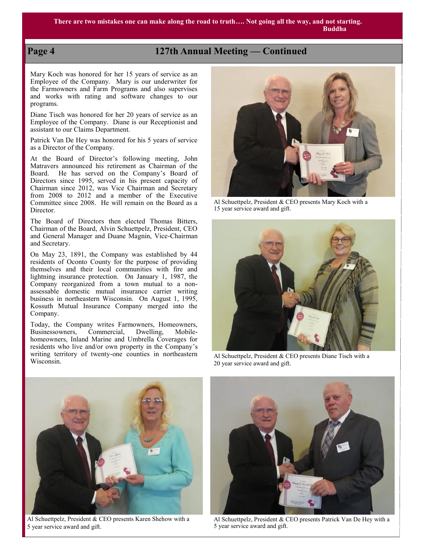# **Page 4 127th Annual Meeting — Continued**

Mary Koch was honored for her 15 years of service as an Employee of the Company. Mary is our underwriter for the Farmowners and Farm Programs and also supervises and works with rating and software changes to our programs.

Diane Tisch was honored for her 20 years of service as an Employee of the Company. Diane is our Receptionist and assistant to our Claims Department.

Patrick Van De Hey was honored for his 5 years of service as a Director of the Company.

At the Board of Director's following meeting, John Matravers announced his retirement as Chairman of the Board. He has served on the Company's Board of Directors since 1995, served in his present capacity of Chairman since 2012, was Vice Chairman and Secretary from 2008 to 2012 and a member of the Executive Committee since 2008. He will remain on the Board as a Director.

The Board of Directors then elected Thomas Bitters, Chairman of the Board, Alvin Schuettpelz, President, CEO and General Manager and Duane Magnin, Vice-Chairman and Secretary.

On May 23, 1891, the Company was established by 44 residents of Oconto County for the purpose of providing themselves and their local communities with fire and lightning insurance protection. On January 1, 1987, the Company reorganized from a town mutual to a nonassessable domestic mutual insurance carrier writing business in northeastern Wisconsin. On August 1, 1995, Kossuth Mutual Insurance Company merged into the Company.

Today, the Company writes Farmowners, Homeowners, Businessowners, Commercial, Dwelling, Mobilehomeowners, Inland Marine and Umbrella Coverages for residents who live and/or own property in the Company's writing territory of twenty-one counties in northeastern Wisconsin.



Al Schuettpelz, President & CEO presents Mary Koch with a 15 year service award and gift.



Al Schuettpelz, President & CEO presents Diane Tisch with a 20 year service award and gift.



Al Schuettpelz, President & CEO presents Karen Shehow with a 5 year service award and gift.



Al Schuettpelz, President & CEO presents Patrick Van De Hey with a 5 year service award and gift.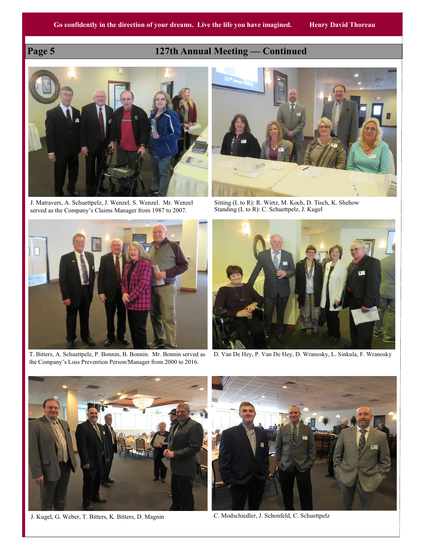# **Page 5 127th Annual Meeting — Continued**



J. Matravers, A. Schuettpelz, J. Wenzel, S. Wenzel. Mr. Wenzel served as the Company's Claims Manager from 1987 to 2007.



Sitting (L to R): R. Wirtz, M. Koch, D. Tisch, K. Shehow Standing (L to R): C. Schuettpelz, J. Kugel



T. Bitters, A. Schuettpelz, P. Bonnin, B. Bonnin. Mr. Bonnin served as the Company's Loss Prevention Person/Manager from 2000 to 2016.



D. Van De Hey, P. Van De Hey, D. Wranosky, L. Sinkula, F. Wranosky



J. Kugel, G. Weber, T. Bitters, K. Bitters, D. Magnin C. Modschiedler, J. Schonfeld, C. Schuettpelz

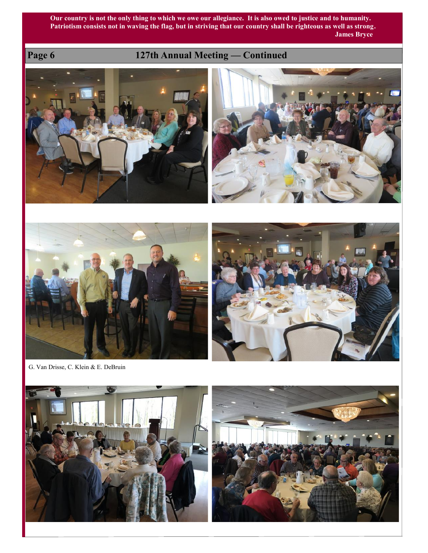**Our country is not the only thing to which we owe our allegiance. It is also owed to justice and to humanity. Patriotism consists not in waving the flag, but in striving that our country shall be righteous as well as strong. James Bryce** 

# **Page 6 127th Annual Meeting — Continued**









G. Van Drisse, C. Klein & E. DeBruin



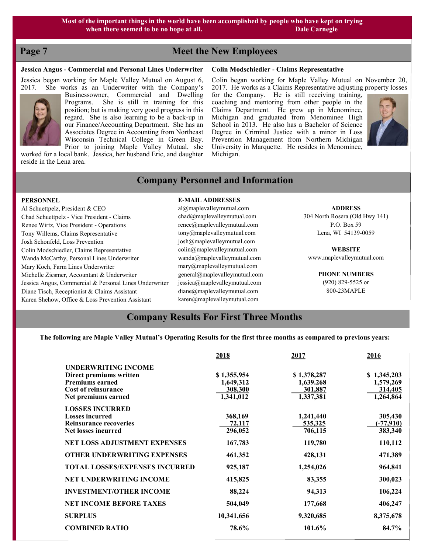# **Page 7** Meet the New Employees

#### **Jessica Angus - Commercial and Personal Lines Underwriter**

Jessica began working for Maple Valley Mutual on August 6, 2017. She works as an Underwriter with the Company's



Businessowner, Commercial and Dwelling Programs. She is still in training for this position; but is making very good progress in this regard. She is also learning to be a back-up in our Finance/Accounting Department. She has an Associates Degree in Accounting from Northeast Wisconsin Technical College in Green Bay. Prior to joining Maple Valley Mutual, she

worked for a local bank. Jessica, her husband Eric, and daughter reside in the Lena area.

#### **Colin Modschiedler - Claims Representative**

Colin began working for Maple Valley Mutual on November 20, 2017. He works as a Claims Representative adjusting property losses for the Company. He is still receiving training, coaching and mentoring from other people in the Claims Department. He grew up in Menominee, Michigan and graduated from Menominee High School in 2013. He also has a Bachelor of Science Degree in Criminal Justice with a minor in Loss Prevention Management from Northern Michigan University in Marquette. He resides in Menominee, Michigan.



# **Company Personnel and Information**

#### **PERSONNEL**

Al Schuettpelz, President & CEO Chad Schuettpelz - Vice President - Claims Renee Wirtz, Vice President - Operations Tony Willems, Claims Representative Josh Schonfeld, Loss Prevention Colin Modschiedler, Claims Representative Wanda McCarthy, Personal Lines Underwriter Mary Koch, Farm Lines Underwriter Michelle Ziesmer, Accountant & Underwriter Jessica Angus, Commercial & Personal Lines Underwriter Diane Tisch, Receptionist & Claims Assistant Karen Shehow, Office & Loss Prevention Assistant

#### **E-MAIL ADDRESSES**

al@maplevalleymutual.com chad@maplevalleymutual.com renee@maplevalleymutual.com tony@maplevalleymutual.com josh@maplevalleymutual.com colin@maplevalleymutual.com wanda@maplevalleymutual.com mary@maplevalleymutual.com general@maplevalleymutual.com jessica@maplevalleymutual.com diane@maplevalleymutual.com karen@maplevalleymutual.com

**ADDRESS**

304 North Rosera (Old Hwy 141) P.O. Box 59 Lena, WI 54139-0059

**WEBSITE** www.maplevalleymutual.com

> **PHONE NUMBERS** (920) 829-5525 or

800-23MAPLE

## **Company Results For First Three Months**

**The following are Maple Valley Mutual's Operating Results for the first three months as compared to previous years:**

|                                                                                                                               | 2018                                             | 2017                                             | 2016                                             |
|-------------------------------------------------------------------------------------------------------------------------------|--------------------------------------------------|--------------------------------------------------|--------------------------------------------------|
| UNDERWRITING INCOME<br>Direct premiums written<br><b>Premiums earned</b><br><b>Cost of reinsurance</b><br>Net premiums earned | \$1,355,954<br>1,649,312<br>308,300<br>1,341,012 | \$1,378,287<br>1,639.268<br>301,887<br>1,337,381 | \$1,345,203<br>1,579,269<br>314,405<br>1,264,864 |
| <b>LOSSES INCURRED</b><br><b>Losses incurred</b><br><b>Reinsurance recoveries</b><br><b>Net losses incurred</b>               | 368,169<br>72,117<br>296,052                     | 1,241,440<br><u>535,325</u><br>706,115           | 305,430<br>$(-77,910)$<br>383,340                |
| <b>NET LOSS ADJUSTMENT EXPENSES</b>                                                                                           | 167,783                                          | 119,780                                          | 110,112                                          |
| <b>OTHER UNDERWRITING EXPENSES</b>                                                                                            | 461,352                                          | 428,131                                          | 471,389                                          |
| <b>TOTAL LOSSES/EXPENSES INCURRED</b>                                                                                         | 925,187                                          | 1,254,026                                        | 964,841                                          |
| <b>NET UNDERWRITING INCOME</b>                                                                                                | 415,825                                          | 83,355                                           | 300,023                                          |
| <b>INVESTMENT/OTHER INCOME</b>                                                                                                | 88,224                                           | 94,313                                           | 106,224                                          |
| <b>NET INCOME BEFORE TAXES</b>                                                                                                | 504,049                                          | 177,668                                          | 406,247                                          |
| <b>SURPLUS</b>                                                                                                                | 10,341,656                                       | 9,320,685                                        | 8,375,678                                        |
| <b>COMBINED RATIO</b>                                                                                                         | 78.6%                                            | 101.6%                                           | 84.7%                                            |